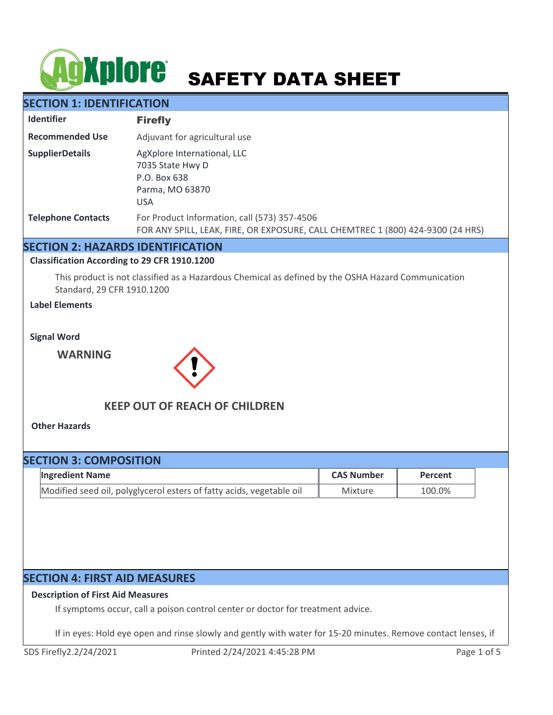# **AgXplore** SAFETY DATA SHEET

# **SECTION 1: IDENTIFICATION**

| <b>Identifier</b>         | <b>Firefly</b>                                                                                                                  |
|---------------------------|---------------------------------------------------------------------------------------------------------------------------------|
| <b>Recommended Use</b>    | Adjuvant for agricultural use                                                                                                   |
| <b>SupplierDetails</b>    | AgXplore International, LLC<br>7035 State Hwy D<br>P.O. Box 638<br>Parma, MO 63870<br><b>USA</b>                                |
| <b>Telephone Contacts</b> | For Product Information, call (573) 357-4506<br>FOR ANY SPILL, LEAK, FIRE, OR EXPOSURE, CALL CHEMTREC 1 (800) 424-9300 (24 HRS) |

# **SECTION 2: HAZARDS IDENTIFICATION**

## **Classification According to 29 CFR 1910.1200**

This product is not classified as a Hazardous Chemical as defined by the OSHA Hazard Communication Standard, 29 CFR 1910.1200

# **Label Elements**

**Signal Word**

**WARNING**



# **KEEP OUT OF REACH OF CHILDREN**

**Other Hazards**

| <b>SECTION 3: COMPOSITION</b> |                                                                      |                   |         |  |
|-------------------------------|----------------------------------------------------------------------|-------------------|---------|--|
|                               | <b>Ingredient Name</b>                                               | <b>CAS Number</b> | Percent |  |
|                               | Modified seed oil, polyglycerol esters of fatty acids, vegetable oil | Mixture           | 100.0%  |  |

# **SECTION 4: FIRST AID MEASURES**

# **Description of First Aid Measures**

If symptoms occur, call a poison control center or doctor for treatment advice.

If in eyes: Hold eye open and rinse slowly and gently with water for 15-20 minutes. Remove contact lenses, if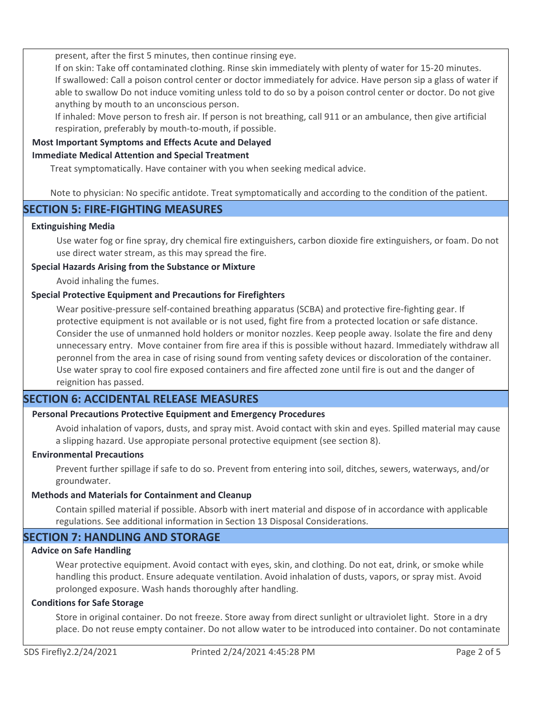present, after the first 5 minutes, then continue rinsing eye.

If on skin: Take off contaminated clothing. Rinse skin immediately with plenty of water for 15-20 minutes. If swallowed: Call a poison control center or doctor immediately for advice. Have person sip a glass of water if able to swallow Do not induce vomiting unless told to do so by a poison control center or doctor. Do not give anything by mouth to an unconscious person.

If inhaled: Move person to fresh air. If person is not breathing, call 911 or an ambulance, then give artificial respiration, preferably by mouth-to-mouth, if possible.

# **Most Important Symptoms and Effects Acute and Delayed**

# **Immediate Medical Attention and Special Treatment**

Treat symptomatically. Have container with you when seeking medical advice.

Note to physician: No specific antidote. Treat symptomatically and according to the condition of the patient.

# **SECTION 5: FIRE-FIGHTING MEASURES**

## **Extinguishing Media**

Use water fog or fine spray, dry chemical fire extinguishers, carbon dioxide fire extinguishers, or foam. Do not use direct water stream, as this may spread the fire.

# **Special Hazards Arising from the Substance or Mixture**

Avoid inhaling the fumes.

# **Special Protective Equipment and Precautions for Firefighters**

Wear positive-pressure self-contained breathing apparatus (SCBA) and protective fire-fighting gear. If protective equipment is not available or is not used, fight fire from a protected location or safe distance. Consider the use of unmanned hold holders or monitor nozzles. Keep people away. Isolate the fire and deny unnecessary entry. Move container from fire area if this is possible without hazard. Immediately withdraw all peronnel from the area in case of rising sound from venting safety devices or discoloration of the container. Use water spray to cool fire exposed containers and fire affected zone until fire is out and the danger of reignition has passed.

# **SECTION 6: ACCIDENTAL RELEASE MEASURES**

# **Personal Precautions Protective Equipment and Emergency Procedures**

Avoid inhalation of vapors, dusts, and spray mist. Avoid contact with skin and eyes. Spilled material may cause a slipping hazard. Use appropiate personal protective equipment (see section 8).

## **Environmental Precautions**

Prevent further spillage if safe to do so. Prevent from entering into soil, ditches, sewers, waterways, and/or groundwater.

## **Methods and Materials for Containment and Cleanup**

Contain spilled material if possible. Absorb with inert material and dispose of in accordance with applicable regulations. See additional information in Section 13 Disposal Considerations.

# **SECTION 7: HANDLING AND STORAGE**

## **Advice on Safe Handling**

Wear protective equipment. Avoid contact with eyes, skin, and clothing. Do not eat, drink, or smoke while handling this product. Ensure adequate ventilation. Avoid inhalation of dusts, vapors, or spray mist. Avoid prolonged exposure. Wash hands thoroughly after handling.

## **Conditions for Safe Storage**

Store in original container. Do not freeze. Store away from direct sunlight or ultraviolet light. Store in a dry place. Do not reuse empty container. Do not allow water to be introduced into container. Do not contaminate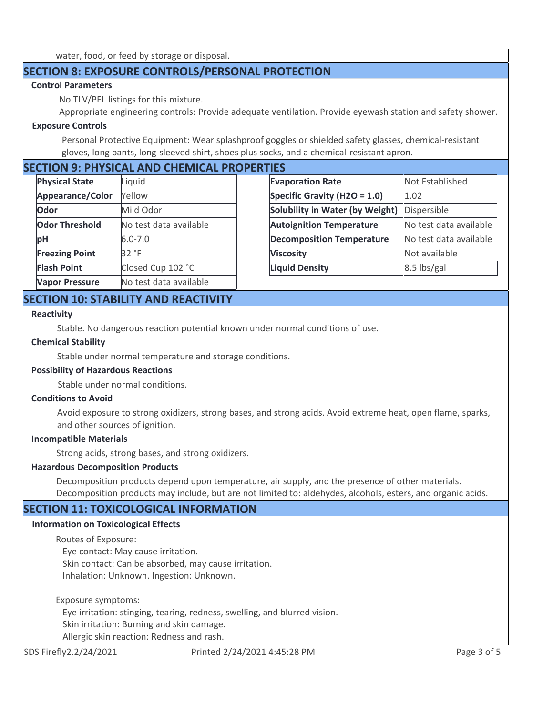water, food, or feed by storage or disposal.

# **SECTION 8: EXPOSURE CONTROLS/PERSONAL PROTECTION**

# **Control Parameters**

No TLV/PEL listings for this mixture.

Appropriate engineering controls: Provide adequate ventilation. Provide eyewash station and safety shower.

## **Exposure Controls**

Personal Protective Equipment: Wear splashproof goggles or shielded safety glasses, chemical-resistant gloves, long pants, long-sleeved shirt, shoes plus socks, and a chemical-resistant apron.

# **SECTION 9: PHYSICAL AND CHEMICAL PROPERTIES**

| <b>Physical State</b> | Liquid                 |
|-----------------------|------------------------|
| Appearance/Color      | Yellow                 |
| Odor                  | Mild Odor              |
| <b>Odor Threshold</b> | No test data available |
| рH                    | $6.0 - 7.0$            |
| <b>Freezing Point</b> | 32 °F                  |
| <b>Flash Point</b>    | Closed Cup 102 °C      |
| <b>Vapor Pressure</b> | No test data available |

| Not Established        |  |  |  |  |
|------------------------|--|--|--|--|
| 1.02                   |  |  |  |  |
| Dispersible            |  |  |  |  |
| No test data available |  |  |  |  |
| No test data available |  |  |  |  |
| Not available          |  |  |  |  |
| 8.5 lbs/gal            |  |  |  |  |
|                        |  |  |  |  |

# **SECTION 10: STABILITY AND REACTIVITY**

#### **Reactivity**

Stable. No dangerous reaction potential known under normal conditions of use.

#### **Chemical Stability**

Stable under normal temperature and storage conditions.

# **Possibility of Hazardous Reactions**

Stable under normal conditions.

#### **Conditions to Avoid**

Avoid exposure to strong oxidizers, strong bases, and strong acids. Avoid extreme heat, open flame, sparks, and other sources of ignition.

#### **Incompatible Materials**

Strong acids, strong bases, and strong oxidizers.

## **Hazardous Decomposition Products**

Decomposition products depend upon temperature, air supply, and the presence of other materials. Decomposition products may include, but are not limited to: aldehydes, alcohols, esters, and organic acids.

# **SECTION 11: TOXICOLOGICAL INFORMATION**

## **Information on Toxicological Effects**

Routes of Exposure:

 Eye contact: May cause irritation. Skin contact: Can be absorbed, may cause irritation. Inhalation: Unknown. Ingestion: Unknown.

Exposure symptoms:

Eye irritation: stinging, tearing, redness, swelling, and blurred vision.

Skin irritation: Burning and skin damage.

Allergic skin reaction: Redness and rash.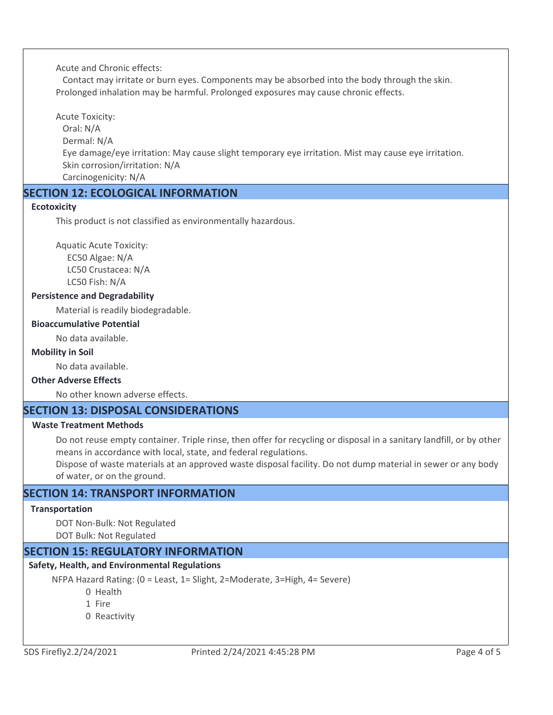Acute and Chronic effects:

 Contact may irritate or burn eyes. Components may be absorbed into the body through the skin. Prolonged inhalation may be harmful. Prolonged exposures may cause chronic effects.

Acute Toxicity:

 Oral: N/A Dermal: N/A

 Eye damage/eye irritation: May cause slight temporary eye irritation. Mist may cause eye irritation. Skin corrosion/irritation: N/A

Carcinogenicity: N/A

# **SECTION 12: ECOLOGICAL INFORMATION**

## **Ecotoxicity**

This product is not classified as environmentally hazardous.

Aquatic Acute Toxicity: EC50 Algae: N/A LC50 Crustacea: N/A LC50 Fish: N/A

# **Persistence and Degradability**

Material is readily biodegradable.

## **Bioaccumulative Potential**

No data available.

#### **Mobility in Soil**

No data available.

# **Other Adverse Effects**

No other known adverse effects.

# **SECTION 13: DISPOSAL CONSIDERATIONS**

# **Waste Treatment Methods**

Do not reuse empty container. Triple rinse, then offer for recycling or disposal in a sanitary landfill, or by other means in accordance with local, state, and federal regulations.

Dispose of waste materials at an approved waste disposal facility. Do not dump material in sewer or any body of water, or on the ground.

# **SECTION 14: TRANSPORT INFORMATION**

#### **Transportation**

DOT Non-Bulk: Not Regulated DOT Bulk: Not Regulated

# **SECTION 15: REGULATORY INFORMATION**

## **Safety, Health, and Environmental Regulations**

NFPA Hazard Rating: (0 = Least, 1= Slight, 2=Moderate, 3=High, 4= Severe)

- 0 Health
- 1 Fire
- 0 Reactivity